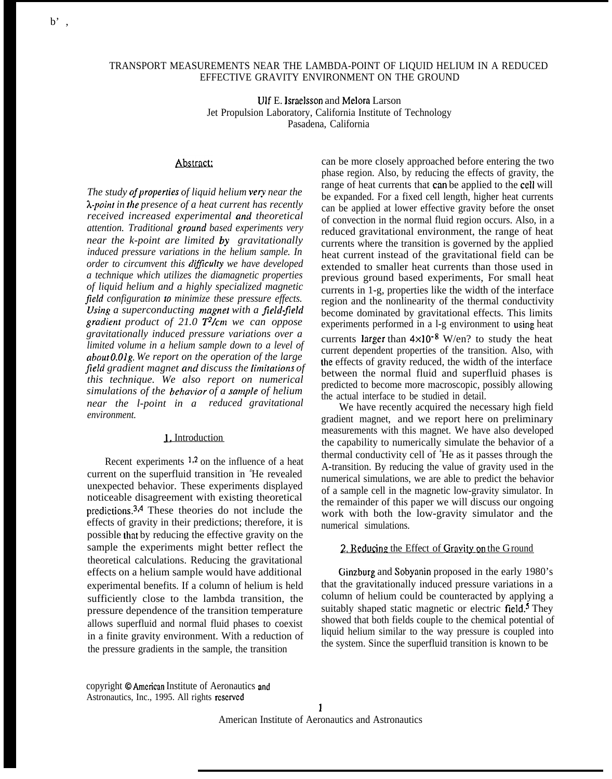b' ,

# TRANSPORT MEASUREMENTS NEAR THE LAMBDA-POINT OF LIQUID HELIUM IN A REDUCED EFFECTIVE GRAVITY ENVIRONMENT ON THE GROUND

Ulf E. lsraelsson and Melora Larson Jet Propulsion Laboratory, California Institute of Technology Pasadena, California

#### Abstract:

The study of properties of liquid helium very near the *A-point in the presence of a heat current has recently received increased experimental and theoretical attention. Traditional ground based experiments very near the k-point are limited by gravitationally induced pressure variations in the helium sample. In order to circumvent this diflculty we have developed a technique which utilizes the diamagnetic properties of liquid helium and a highly specialized magnetic field configuration to minimize these pressure effects. Using a superconducting magnet with a field-field gradient product of 21.0 T2/cm we can oppose gravitationally induced pressure variations over a limited volume in a helium sample down to a level of abotit O.Olg. We report on the operation of the large* field gradient magnet and discuss the *limitations* of *this technique. We also report on numerical simulations of the beha~'ior of a sample of helium near the l-point in a reduced gravitational environment.*

## J. Introduction

Recent experiments  $1,2$  on the influence of a heat current on the superfluid transition in <sup>4</sup>He revealed unexpected behavior. These experiments displayed noticeable disagreement with existing theoretical predictions.3'4 These theories do not include the effects of gravity in their predictions; therefore, it is possible that by reducing the effective gravity on the sample the experiments might better reflect the theoretical calculations. Reducing the gravitational effects on a helium sample would have additional experimental benefits. If a column of helium is held sufficiently close to the lambda transition, the pressure dependence of the transition temperature allows superfluid and normal fluid phases to coexist in a finite gravity environment. With a reduction of the pressure gradients in the sample, the transition

can be more closely approached before entering the two phase region. Also, by reducing the effects of gravity, the range of heat currents that can be applied to the cell will be expanded. For a fixed cell length, higher heat currents can be applied at lower effective gravity before the onset of convection in the normal fluid region occurs. Also, in a reduced gravitational environment, the range of heat currents where the transition is governed by the applied heat current instead of the gravitational field can be extended to smaller heat currents than those used in previous ground based experiments, For small heat currents in 1-g, properties like the width of the interface region and the nonlinearity of the thermal conductivity become dominated by gravitational effects. This limits experiments performed in a l-g environment to using heat currents larger than  $4 \times 10^{-8}$  W/en? to study the heat current dependent properties of the transition. Also, with the effects of gravity reduced, the width of the interface between the normal fluid and superfluid phases is predicted to become more macroscopic, possibly allowing the actual interface to be studied in detail.

We have recently acquired the necessary high field gradient magnet, and we report here on preliminary measurements with this magnet. We have also developed the capability to numerically simulate the behavior of a thermal conductivity cell of <sup>4</sup>He as it passes through the A-transition. By reducing the value of gravity used in the numerical simulations, we are able to predict the behavior of a sample cell in the magnetic low-gravity simulator. In the remainder of this paper we will discuss our ongoing work with both the low-gravity simulator and the numerical simulations.

#### 2, Reducing the Effect of Gravity on the Ground

Ginzburg and Sobyanin proposed in the early 1980's that the gravitationally induced pressure variations in a column of helium could be counteracted by applying a suitably shaped static magnetic or electric field.<sup>5</sup> They showed that both fields couple to the chemical potential of liquid helium similar to the way pressure is coupled into the system. Since the superfluid transition is known to be

copyright © American Institute of Aeronautics and Astronautics, Inc., 1995. All rights rcscrvcd

American Institute of Aeronautics and Astronautics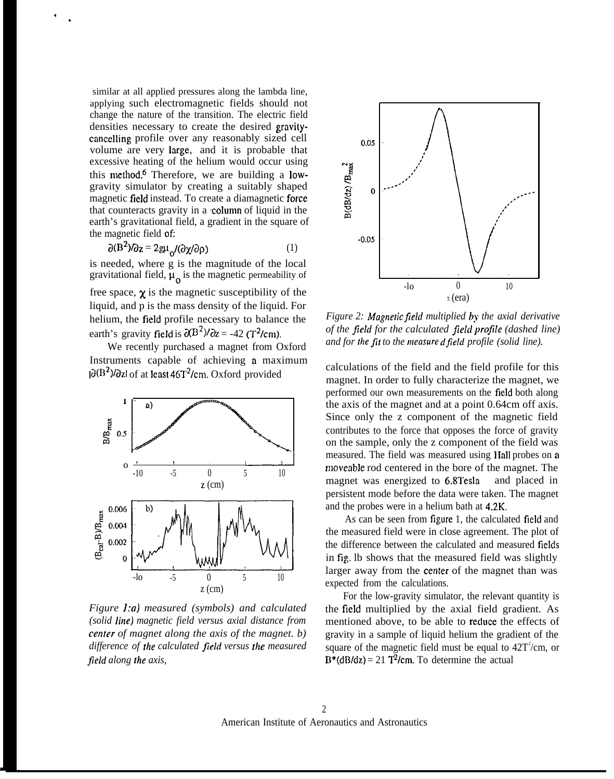similar at all applied pressures along the lambda line, applying such electromagnetic fields should not change the nature of the transition. The electric field densities necessary to create the desired gravitycancelling profile over any reasonably sized cell volume are very large, and it is probable that excessive heating of the helium would occur using this method.<sup>6</sup> Therefore, we are building a lowgravity simulator by creating a suitably shaped magnetic field instead. To create a diamagnetic force that counteracts gravity in a column of liquid in the earth's gravitational field, a gradient in the square of the magnetic field of:

, .

$$
\partial(\mathbf{B}^2)/\partial z = 2g\mu_{\Omega}/(\partial \chi/\partial \rho)
$$
 (1)

is needed, where g is the magnitude of the local gravitational field,  $\mu_0$  is the magnetic permeability of

free space,  $\chi$  is the magnetic susceptibility of the liquid, and p is the mass density of the liquid. For helium, the field profile necessary to balance the earth's gravity field is  $\partial$ (B<sup>2</sup>)/ $\partial$ z = -42 (T<sup>2</sup>/cm).

We recently purchased a magnet from Oxford Instruments capable of achieving a maximum  $|\partial(B^2)/\partial z|$  of at least 46T<sup>2</sup>/cm. Oxford provided



*Figure l:a) measured (symbols) and calculated (solid line) magnetic field versus axial distance from center of magnet along the axis of the magnet. b) difference of fhe calculated field versus /he measured field along the axis,*



*Figure 2: Magnetic field multiplied by the axial derivative of the field for the calculated jiekl projle (dashed line) and for the fit to the measured field profile (solid line).*

calculations of the field and the field profile for this magnet. In order to fully characterize the magnet, we performed our own measurements on the field both along the axis of the magnet and at a point 0.64cm off axis. Since only the z component of the magnetic field contributes to the force that opposes the force of gravity on the sample, only the z component of the field was measured. The field was measured using Hall probes on a moveable rod centered in the bore of the magnet. The magnet was energized to 6.8Tesla and placed in persistent mode before the data were taken. The magnet and the probes were in a helium bath at 4.2K.

As can be seen from figure 1, the calculated field and the measured field were in close agreement. The plot of the difference between the calculated and measured fieIds in fig. lb shows that the measured field was slightly larger away from the center of the magnet than was expected from the calculations.

For the low-gravity simulator, the relevant quantity is the field multiplied by the axial field gradient. As mentioned above, to be able to reduce the effects of gravity in a sample of liquid helium the gradient of the square of the magnetic field must be equal to  $42T^2/cm$ , or  $B^*(dB/dz) = 21$   $T^2/cm$ . To determine the actual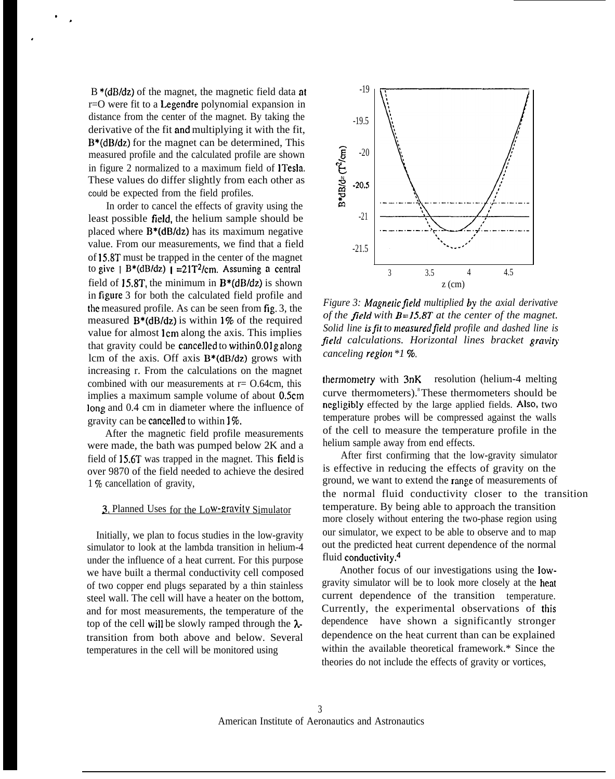B \*(dB/dz) of the magnet, the magnetic field data at r=O were fit to a Legendre polynomial expansion in distance from the center of the magnet. By taking the derivative of the fit and multiplying it with the fit, B\*(dB/dz) for the magnet can be determined, This measured profile and the calculated profile are shown in figure 2 normalized to a maximum field of ITesla, These values do differ slightly from each other as could be expected from the field profiles.

. .

.

In order to cancel the effects of gravity using the least possible field, the helium sample should be placed where  $B^*(dB/dz)$  has its maximum negative value. From our measurements, we find that a field of 15.8T must be trapped in the center of the magnet to give  $1 B*(dB/dz)$   $1 = 21T^2/cm$ . Assuming a central field of 15.8T, the minimum in  $B^*(dB/dz)$  is shown in figure 3 for both the calculated field profile and the measured profile. As can be seen from fig. 3, the measured  $B^*(dB/dz)$  is within 1% of the required value for almost lcm along the axis. This implies that gravity could be cancelled to within O.Olg along lcm of the axis. Off axis B\*(dB/dz) grows with increasing r. From the calculations on the magnet combined with our measurements at  $r = 0.64$ cm, this implies a maximum sample volume of about 0.5cm long and 0.4 cm in diameter where the influence of gravity can be cancelled to within 1%.

After the magnetic field profile measurements were made, the bath was pumped below 2K and a field of 15.6T was trapped in the magnet. This field is over 9870 of the field needed to achieve the desired 1 % cancellation of gravity,

### 3. Planned Uses for the Low-gravity Simulator

Initially, we plan to focus studies in the low-gravity simulator to look at the lambda transition in helium-4 under the influence of a heat current. For this purpose we have built a thermal conductivity cell composed of two copper end plugs separated by a thin stainless steel wall. The cell will have a heater on the bottom, and for most measurements, the temperature of the top of the cell will be slowly ramped through the  $\lambda$ transition from both above and below. Several temperatures in the cell will be monitored using



*Figure 3: Magnetic field multiplied by the axial derivative of the field with B=15.8T at the center of the magnet. Solid line is fit to measured field profile and dashed line is field calculations. Horizontal lines bracket graviv canceling region \*1 ~o.*

thermometry with  $3nK$  resolution (helium-4 melting curve thermometers). $\textdegree$ These thermometers should be negligibly effected by the large applied fields. AIso, two temperature probes will be compressed against the walls of the cell to measure the temperature profile in the helium sample away from end effects.

After first confirming that the low-gravity simulator is effective in reducing the effects of gravity on the ground, we want to extend the range of measurements of the normal fluid conductivity closer to the transition temperature. By being able to approach the transition more closely without entering the two-phase region using our simulator, we expect to be able to observe and to map out the predicted heat current dependence of the normal fluid conductivity.4

Another focus of our investigations using the lowgravity simulator will be to look more closely at the heat current dependence of the transition temperature. Currently, the experimental observations of this dependence have shown a significantly stronger dependence on the heat current than can be explained within the available theoretical framework.\* Since the theories do not include the effects of gravity or vortices,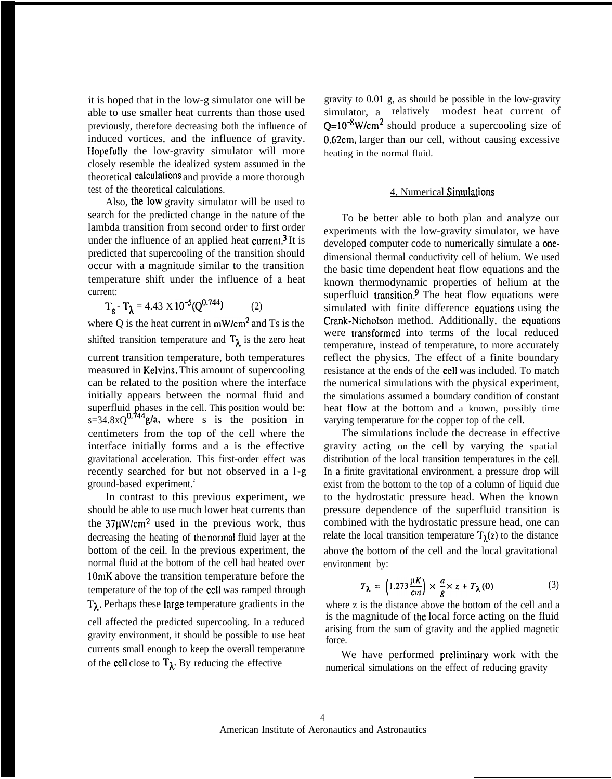it is hoped that in the low-g simulator one will be able to use smaller heat currents than those used previously, therefore decreasing both the influence of induced vortices, and the influence of gravity. Hopefully the low-gravity simulator will more closely resemble the idealized system assumed in the theoretical calculations and provide a more thorough test of the theoretical calculations.

Also, the low gravity simulator will be used to search for the predicted change in the nature of the lambda transition from second order to first order under the influence of an applied heat current.<sup>3</sup> It is predicted that supercooling of the transition should occur with a magnitude similar to the transition temperature shift under the influence of a heat current:

 $T_s - T_\lambda = 4.43 \times 10^{-5} (Q^{0.744})$  (2)

where  $Q$  is the heat current in  $mW/cm<sup>2</sup>$  and Ts is the shifted transition temperature and  $T_{\lambda}$  is the zero heat current transition temperature, both temperatures measured in Kelvins. This amount of supercooling can be related to the position where the interface initially appears between the normal fluid and superfluid phases in the cell. This position would be:  $s=34.8xQ^{0.744}g/a$ , where s is the position in centimeters from the top of the cell where the interface initially forms and a is the effective gravitational acceleration. This first-order effect was recently searched for but not observed in a l-g ground-based experiment.<sup>2</sup>

In contrast to this previous experiment, we should be able to use much lower heat currents than the  $37\mu$ W/cm<sup>2</sup> used in the previous work, thus decreasing the heating of the normal fluid layer at the bottom of the ceil. In the previous experiment, the normal fluid at the bottom of the cell had heated over 10mK above the transition temperature before the temperature of the top of the cell was ramped through  $T_{\lambda}$ . Perhaps these large temperature gradients in the cell affected the predicted supercooling. In a reduced gravity environment, it should be possible to use heat currents small enough to keep the overall temperature of the cell close to  $T_{\lambda}$ . By reducing the effective

gravity to 0.01 g, as should be possible in the low-gravity simulator, a relatively modest heat current of  $Q=10^{-8}$ W/cm<sup>2</sup> should produce a supercooling size of  $\overline{0.62}$ cm, larger than our cell, without causing excessive heating in the normal fluid.

# 4, Numerical Simulations

To be better able to both plan and analyze our experiments with the low-gravity simulator, we have developed computer code to numerically simulate a onedimensional thermal conductivity cell of helium. We used the basic time dependent heat flow equations and the known thermodynamic properties of helium at the superfluid transition.<sup>9</sup> The heat flow equations were simulated with finite difference equations using the Crank-Nicholson method. Additionally, the equations were transformed into terms of the local reduced temperature, instead of temperature, to more accurately reflect the physics, The effect of a finite boundary resistance at the ends of the cell was included. To match the numerical simulations with the physical experiment, the simulations assumed a boundary condition of constant heat flow at the bottom and a known, possibly time varying temperature for the copper top of the cell.

The simulations include the decrease in effective gravity acting on the cell by varying the spatial distribution of the local transition temperatures in the cell. In a finite gravitational environment, a pressure drop will exist from the bottom to the top of a column of liquid due to the hydrostatic pressure head. When the known pressure dependence of the superfluid transition is combined with the hydrostatic pressure head, one can relate the local transition temperature  $T_1(z)$  to the distance above the bottom of the cell and the local gravitational environment by:

$$
T_{\lambda} = \left(1.273 \frac{\mu K}{cm}\right) \times \frac{a}{g} \times z + T_{\lambda}(0) \tag{3}
$$

where z is the distance above the bottom of the cell and a is the magnitude of the local force acting on the fluid arising from the sum of gravity and the applied magnetic force.

We have performed preliminary work with the numerical simulations on the effect of reducing gravity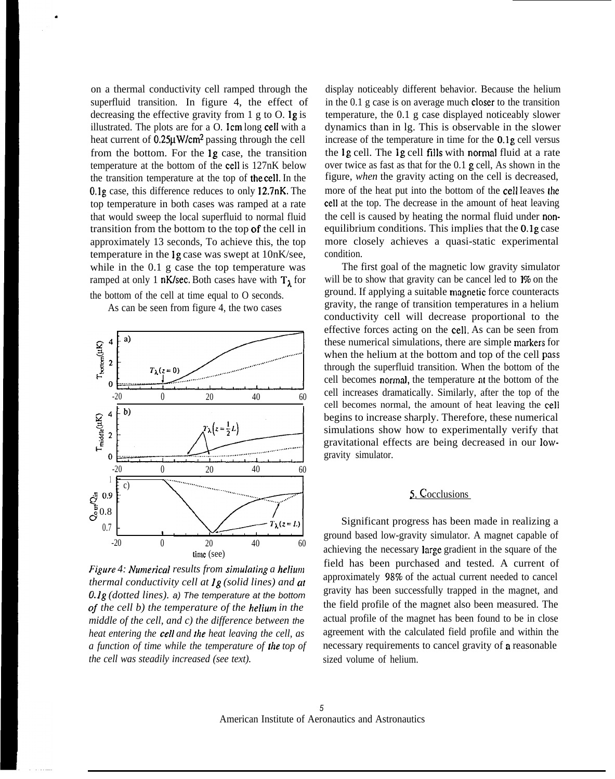on a thermal conductivity cell ramped through the superfluid transition. In figure 4, the effect of decreasing the effective gravity from  $1 \text{ g}$  to  $0$ . **lg** is illustrated. The plots are for a  $O$ . Icm long cell with a heat current of  $0.25\mu$ W/cm<sup>2</sup> passing through the cell from the bottom. For the lg case, the transition temperature at the bottom of the cell is 127nK below the transition temperature at the top of the cell. In the O.lg case, this difference reduces to only 12.7nK. The top temperature in both cases was ramped at a rate that would sweep the local superfluid to normal fluid transition from the bottom to the top of the cell in approximately 13 seconds, To achieve this, the top temperature in the lg case was swept at 10nK/see, while in the 0.1 g case the top temperature was ramped at only 1 nK/sec. Both cases have with  $T_1$  for the bottom of the cell at time equal to O seconds.

.

As can be seen from figure 4, the two cases



*Figure 4: Numerical results from simulating a helium thermal conductivity cell at lg (solid lines) and at O.lg (dotted lines).* a) The temperature at the bottom of *the cell b) the temperature of the helium in the middle of the cell, and c) the difference between* the *heat entering the cell and the heat leaving the cell, as a function of time while the temperature of the top of the cell was steadily increased (see text).*

display noticeably different behavior. Because the helium in the 0.1 g case is on average much closer to the transition temperature, the 0.1 g case displayed noticeably slower dynamics than in lg. This is observable in the slower increase of the temperature in time for the O.lg cell versus the lg cell. The lg cell fills with normal fluid at a rate over twice as fast as that for the 0.1 g cell, As shown in the figure, *when* the gravity acting on the cell is decreased, more of the heat put into the bottom of the cell Ieaves the cell at the top. The decrease in the amount of heat leaving the cell is caused by heating the normal fluid under nonequilibrium conditions. This implies that the O.lg case more closely achieves a quasi-static experimental condition.

The first goal of the magnetic low gravity simulator will be to show that gravity can be cancel led to  $1\%$  on the ground. If applying a suitable tnagnetic force counteracts gravity, the range of transition temperatures in a helium conductivity cell will decrease proportional to the effective forces acting on the cell. As can be seen from these numerical simulations, there are simple markers for when the helium at the bottom and top of the cell pass through the superfluid transition. When the bottom of the cell becomes normal, the temperature at the bottom of the cell increases dramatically. Similarly, after the top of the cell becomes normal, the amount of heat leaving the cell begins to increase sharply. Therefore, these numerical simulations show how to experimentally verify that gravitational effects are being decreased in our lowgravity simulator.

# 5. Cocclusions

Significant progress has been made in realizing a ground based low-gravity simulator. A magnet capable of achieving the necessary large gradient in the square of the field has been purchased and tested. A current of approximately 987o of the actual current needed to cancel gravity has been successfully trapped in the magnet, and the field profile of the magnet also been measured. The actual profile of the magnet has been found to be in close agreement with the calculated field profile and within the necessary requirements to cancel gravity of **a** reasonable sized volume of helium.